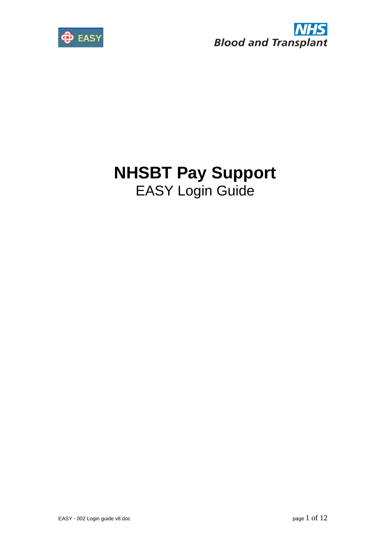



# **NHSBT Pay Support** EASY Login Guide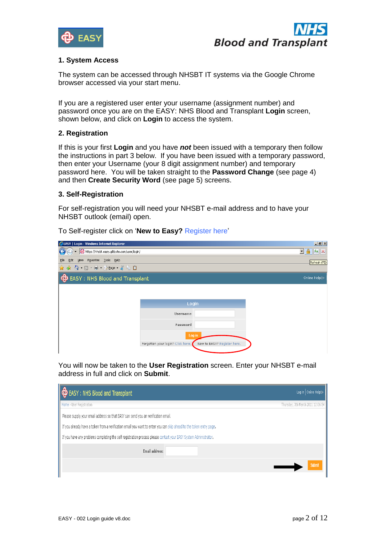



### **1. System Access**

The system can be accessed through NHSBT IT systems via the Google Chrome browser accessed via your start menu.

If you are a registered user enter your username (assignment number) and password once you are on the EASY: NHS Blood and Transplant **Login** screen, shown below, and click on **Login** to access the system.

#### **2. Registration**

If this is your first **Login** and you have *not* been issued with a temporary then follow the instructions in part 3 below. If you have been issued with a temporary password, then enter your Username (your 8 digit assignment number) and temporary password here. You will be taken straight to the **Password Change** (see page 4) and then **Create Security Word** (see page 5) screens.

#### **3. Self-Registration**

For self-registration you will need your NHSBT e-mail address and to have your NHSBT outlook (email) open.

| <b>CEASY   Login - Windows Internet Explorer</b> |                                   |                             | $L = 1$                                         |
|--------------------------------------------------|-----------------------------------|-----------------------------|-------------------------------------------------|
| + Chittps://nhsbt.easy.giltbyte.com/user/login/  |                                   |                             | $\left  \frac{f_{\ast}}{f} \right  \times$<br>▾ |
| View Favorites Tools Help<br>Edit<br>Eile        |                                   |                             | Refresh (F5)                                    |
| ☆☆☆ ↑ 5 - 5 - ● → Brage - 《 - 白日                 |                                   |                             |                                                 |
| <b>D</b> EASY: NHS Blood and Transplant          |                                   |                             | Online Helpc>                                   |
|                                                  |                                   |                             |                                                 |
|                                                  |                                   |                             |                                                 |
|                                                  | Login                             |                             |                                                 |
|                                                  | Username                          |                             |                                                 |
|                                                  | Password                          |                             |                                                 |
|                                                  | Log in                            |                             |                                                 |
|                                                  | Forgotten your login? Click here. | New to EASY? Register here. |                                                 |
|                                                  |                                   |                             |                                                 |

To Self-register click on '**New to Easy?** Register here'

You will now be taken to the **User Registration** screen. Enter your NHSBT e-mail address in full and click on **Submit**.

| $\phi$ EASY : NHS Blood and Transplant                                                                              | Log in $\vert$ Online Help $\mapsto$ |
|---------------------------------------------------------------------------------------------------------------------|--------------------------------------|
| Home > User Registration                                                                                            | Thursday, 3th March 2011 12:06:54    |
| Please supply your email address so that EASY can send you an verification email.                                   |                                      |
| If you already have a token from a verification email you want to enter you can skip ahead to the token entry page. |                                      |
| If you have any problems completing the self registration process please contact your EASY System Administrator.    |                                      |
| <b>Email address:</b>                                                                                               |                                      |
|                                                                                                                     |                                      |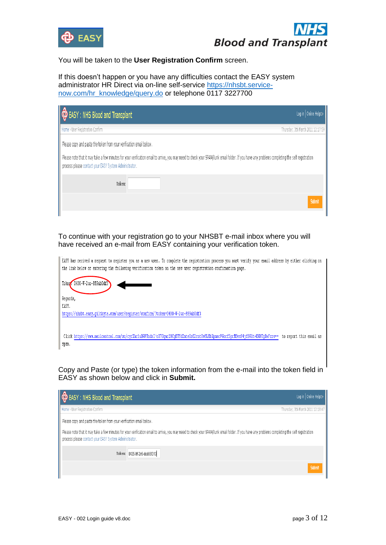



#### You will be taken to the **User Registration Confirm** screen.

If this doesn't happen or you have any difficulties contact the EASY system administrator HR Direct via on-line self-service [https://nhsbt.service](https://nhsbt.service-now.com/hr_knowledge/query.do)[now.com/hr\\_knowledge/query.do](https://nhsbt.service-now.com/hr_knowledge/query.do) or telephone 0117 3227700

| Blood and Transplant                                                                                                                                                                                                                                                                                                            | Log in $\vert$ Online Helpt $\rightarrow$ |
|---------------------------------------------------------------------------------------------------------------------------------------------------------------------------------------------------------------------------------------------------------------------------------------------------------------------------------|-------------------------------------------|
| Home > User Registration Confirm                                                                                                                                                                                                                                                                                                | Thursday, 3th March 2011 12:17:59         |
| Please copy and paste the token from your verification email below.<br>Please note that it may take a few minutes for your verification email to arrive, you may need to check your SPAM/Junk email folder. If you have any problems completing the self registration<br>process please contact your EASY System Administrator. |                                           |
| Token:                                                                                                                                                                                                                                                                                                                          |                                           |
|                                                                                                                                                                                                                                                                                                                                 | Submit                                    |

#### To continue with your registration go to your NHSBT e-mail inbox where you will have received an e-mail from EASY containing your verification token.

EASY has recived a request to register you as a new user. To complete the registration process you must verify your email address by either clicking on the link below or entering the following verification token on the new user registration confirmation page.



Click https://www.mailcontrol.com/sr/cyrXhc1uBRPTndxI!oX7Uqar2HCgETYdZnteOsE2rntUwYLEbXpnmcFGocf5prHSvn94jf8W1t+EMNTgBxFzrw == to report this email as spam.

Copy and Paste (or type) the token information from the e-mail into the token field in EASY as shown below and click in **Submit.**

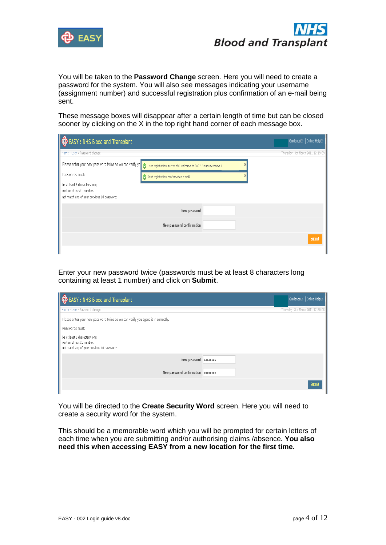



You will be taken to the **Password Change** screen. Here you will need to create a password for the system. You will also see messages indicating your username (assignment number) and successful registration plus confirmation of an e-mail being sent.

These message boxes will disappear after a certain length of time but can be closed sooner by clicking on the X in the top right hand corner of each message box.

| <b>D</b> EASY: NHS Blood and Transplant                                                                                      | Guidance⊞→   Online Help⊞→        |
|------------------------------------------------------------------------------------------------------------------------------|-----------------------------------|
| Home > User > Password change                                                                                                | Thursday, 3th March 2011 12:19:09 |
| Please enter your new password twice so we can verify yo<br>O User registration successful, velcome to EASY. Your username i |                                   |
| Passwords must:<br>Sent registration confirmation email.                                                                     |                                   |
| be at least 8 characters long.<br>contain at least 1 number.<br>not match any of your previous 10 passwords.                 |                                   |
| New password                                                                                                                 |                                   |
| New password confirmation                                                                                                    |                                   |
|                                                                                                                              | Submit                            |
|                                                                                                                              |                                   |

Enter your new password twice (passwords must be at least 8 characters long containing at least 1 number) and click on **Submit**.

| <b>D</b> EASY: NHS Blood and Transplant                                                                      | Guidance <sub>B</sub>   Online HelpE+ |
|--------------------------------------------------------------------------------------------------------------|---------------------------------------|
| Home > User > Password change                                                                                | Thursday, 3th March 2011 12:20:08     |
| Please enter your new password twice so we can verify you typed it in correctly.                             |                                       |
| Passwords must:                                                                                              |                                       |
| be at least 8 characters long.<br>contain at least 1 number.<br>not match any of your previous 10 passwords. |                                       |
| New password <b>exercise</b>                                                                                 |                                       |
| New password confirmation   ********                                                                         |                                       |
|                                                                                                              |                                       |

You will be directed to the **Create Security Word** screen. Here you will need to create a security word for the system.

This should be a memorable word which you will be prompted for certain letters of each time when you are submitting and/or authorising claims /absence. **You also need this when accessing EASY from a new location for the first time.**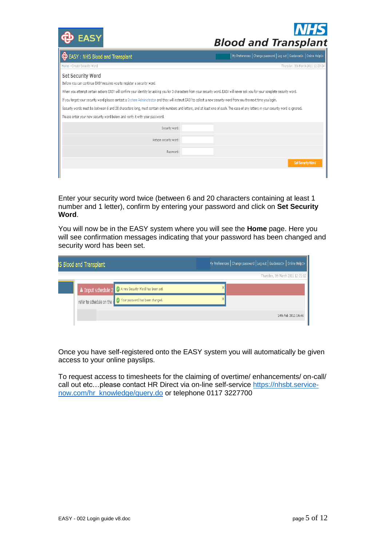

# **Blood and Transplant**

| <b>EASY: NHS Blood and Transplant</b>                                                                                                                                                                                                                                                                                                                                                                                                                                                                                                                                                                                                                                                                                                | My Preferences   Change password   Log out   GuidanceE>   Online HelpE> |
|--------------------------------------------------------------------------------------------------------------------------------------------------------------------------------------------------------------------------------------------------------------------------------------------------------------------------------------------------------------------------------------------------------------------------------------------------------------------------------------------------------------------------------------------------------------------------------------------------------------------------------------------------------------------------------------------------------------------------------------|-------------------------------------------------------------------------|
| Home > Create Security Word                                                                                                                                                                                                                                                                                                                                                                                                                                                                                                                                                                                                                                                                                                          | Thursday, 3th March 2011 12:20:24                                       |
| <b>Set Security Word</b><br>Before you can continue EASY requires you to register a security word.<br>When you attempt certain actions EASY will confirm your identity by asking you for 3 characters from your security word. EASY will never ask you for your complete security word.<br>If you forget your security word please contact a System Administrator and they will instruct EASY to collect a new security word from you the next time you login.<br>Security words must be between 6 and 20 characters long, must contain only numbers and letters, and at least one of each. The case of any letters in your security word is ignored.<br>Please enter your new security word below and verify it with your password. |                                                                         |
| Security word:                                                                                                                                                                                                                                                                                                                                                                                                                                                                                                                                                                                                                                                                                                                       |                                                                         |
| Retype security word:                                                                                                                                                                                                                                                                                                                                                                                                                                                                                                                                                                                                                                                                                                                |                                                                         |
| Password:                                                                                                                                                                                                                                                                                                                                                                                                                                                                                                                                                                                                                                                                                                                            |                                                                         |
|                                                                                                                                                                                                                                                                                                                                                                                                                                                                                                                                                                                                                                                                                                                                      | <b>Set Security Word</b>                                                |
|                                                                                                                                                                                                                                                                                                                                                                                                                                                                                                                                                                                                                                                                                                                                      |                                                                         |

Enter your security word twice (between 6 and 20 characters containing at least 1 number and 1 letter), confirm by entering your password and click on **Set Security Word**.

You will now be in the EASY system where you will see the **Home** page. Here you will see confirmation messages indicating that your password has been changed and security word has been set.

| IS Blood and Transplant |                                                                 | My Preferences   Change password   Log out   Guidance⊡→   Online Help⊡→ |
|-------------------------|-----------------------------------------------------------------|-------------------------------------------------------------------------|
|                         |                                                                 | Thursday, 3th March 2011 12:21:12                                       |
|                         | A Input schedule 2 O A new Security Word has been set.          |                                                                         |
|                         | refer to schedule on the in the view password has been changed. |                                                                         |
|                         |                                                                 | 14th Feb 2011 14:46                                                     |

Once you have self-registered onto the EASY system you will automatically be given access to your online payslips.

To request access to timesheets for the claiming of overtime/ enhancements/ on-call/ call out etc…please contact HR Direct via on-line self-service [https://nhsbt.service](https://nhsbt.service-now.com/hr_knowledge/query.do)[now.com/hr\\_knowledge/query.do](https://nhsbt.service-now.com/hr_knowledge/query.do) or telephone 0117 3227700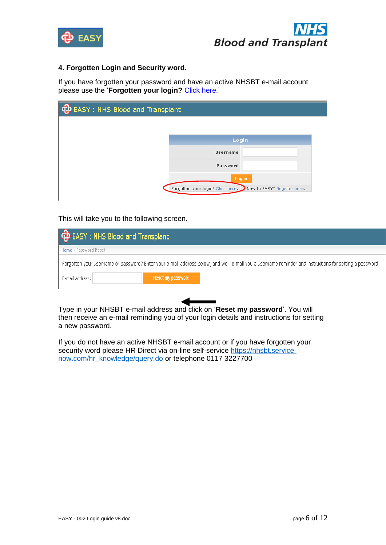



### **4. Forgotten Login and Security word.**

If you have forgotten your password and have an active NHSBT e-mail account please use the '**Forgotten your login?** Click here.'

| $\oplus$ EASY : NHS Blood and Transplant |                                                               |        |
|------------------------------------------|---------------------------------------------------------------|--------|
|                                          |                                                               |        |
|                                          | Login                                                         |        |
|                                          | <b>Username</b>                                               |        |
|                                          | Password                                                      |        |
|                                          |                                                               | Log in |
|                                          | Forgotten your login? Click here. New to EASY? Register here. |        |

This will take you to the following screen.

|                       | $\phi$ EASY : NHS Blood and Transplant                                                                                                                  |
|-----------------------|---------------------------------------------------------------------------------------------------------------------------------------------------------|
| Home > Password Reset |                                                                                                                                                         |
|                       | Forgotten your username or password? Enter your e-mail address below, and we'll e-mail you a username reminder and instructions for setting a password. |
| E-mail address:       | Reset my password                                                                                                                                       |
|                       |                                                                                                                                                         |

Type in your NHSBT e-mail address and click on '**Reset my password**'. You will then receive an e-mail reminding you of your login details and instructions for setting a new password.

If you do not have an active NHSBT e-mail account or if you have forgotten your security word please HR Direct via on-line self-service [https://nhsbt.service](https://nhsbt.service-now.com/hr_knowledge/query.do)[now.com/hr\\_knowledge/query.do](https://nhsbt.service-now.com/hr_knowledge/query.do) or telephone 0117 3227700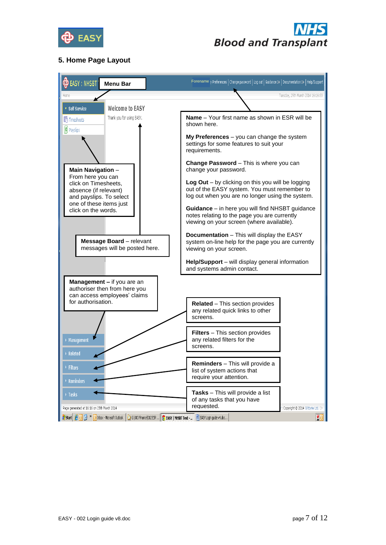



# **5. Home Page Layout**

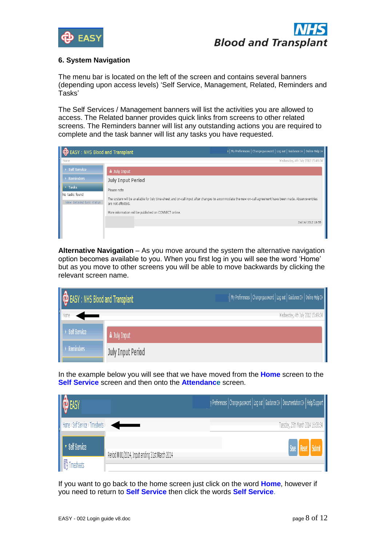



### **6. System Navigation**

The menu bar is located on the left of the screen and contains several banners (depending upon access levels) 'Self Service, Management, Related, Reminders and Tasks'

The Self Services / Management banners will list the activities you are allowed to access. The Related banner provides quick links from screens to other related screens. The Reminders banner will list any outstanding actions you are required to complete and the task banner will list any tasks you have requested.

| <b>D</b> EASY: NHS Blood and Transplant                                       | »   My Preferences   Change password   Log out   Guidance G>   Online Help G>                                                                                                                                                                          |
|-------------------------------------------------------------------------------|--------------------------------------------------------------------------------------------------------------------------------------------------------------------------------------------------------------------------------------------------------|
| Home                                                                          | Wednesday, 4th July 2012 15:49:34                                                                                                                                                                                                                      |
| ▶ Self Service                                                                | <b>A</b> July Input                                                                                                                                                                                                                                    |
| $\rightarrow$ Reminders                                                       | July Input Period                                                                                                                                                                                                                                      |
| $\overline{\phantom{a}}$ Tasks<br>No tasks found<br>View detailed task status | Please note<br>The system will be available for July time-sheet and on-call input after changes to accommodate the new on-call agreement have been made. Absence entries<br>are not affected.<br>More information will be published on CONNECT online. |
|                                                                               | 2nd Jul 2012 10:55                                                                                                                                                                                                                                     |
|                                                                               |                                                                                                                                                                                                                                                        |

**Alternative Navigation** – As you move around the system the alternative navigation option becomes available to you. When you first log in you will see the word 'Home' but as you move to other screens you will be able to move backwards by clicking the relevant screen name.

| <b>D</b> EASY: NHS Blood and Transplant |                     | My Preferences   Change password   Log out   Guidance □>   Online Help □> |
|-----------------------------------------|---------------------|---------------------------------------------------------------------------|
| Home                                    |                     | Wednesday, 4th July 2012 15:49:34                                         |
| Self Service                            | <b>A</b> July Input |                                                                           |
| <b>Reminders</b>                        | July Input Period   |                                                                           |

In the example below you will see that we have moved from the **Home** screen to the **Self Service** screen and then onto the **Attendance** screen.



If you want to go back to the home screen just click on the word **Home**, however if you need to return to **Self Service** then click the words **Self Service**.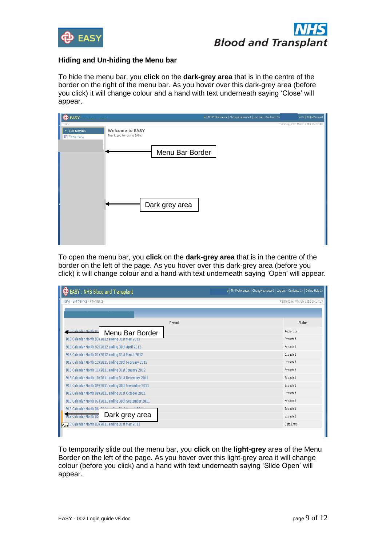



# **Hiding and Un-hiding the Menu bar**

To hide the menu bar, you **click** on the **dark-grey area** that is in the centre of the border on the right of the menu bar. As you hover over this dark-grey area (before you click) it will change colour and a hand with text underneath saying 'Close' will appear.



To open the menu bar, you **click** on the **dark-grey area** that is in the centre of the border on the left of the page. As you hover over this dark-grey area (before you click) it will change colour and a hand with text underneath saying 'Open' will appear.

| »   My Preferences   Change password   Log out   Guidance G>   Online Help G><br>EASY: NHS Blood and Transplant |                                   |  |
|-----------------------------------------------------------------------------------------------------------------|-----------------------------------|--|
| Home > Self Service > Attendance                                                                                | Wednesday, 4th July 2012 16:07:33 |  |
|                                                                                                                 |                                   |  |
| Period                                                                                                          | <b>Status</b>                     |  |
| 18 Calendar Month 04<br>Menu Bar Border                                                                         | Authorised                        |  |
| 918 Calendar Month 03/2012 enamg 31st May 2012                                                                  | Extracted                         |  |
| 918 Calendar Month 02/2012 ending 30th April 2012                                                               | Extracted                         |  |
| 918 Calendar Month 01/2012 ending 31st March 2012                                                               | Extracted                         |  |
| 918 Calendar Month 12/2011 ending 29th February 2012                                                            | Extracted                         |  |
| 918 Calendar Month 11/2011 ending 31st January 2012                                                             | Extracted                         |  |
| 918 Calendar Month 10/2011 ending 31st December 2011                                                            | Extracted                         |  |
| 918 Calendar Month 09/2011 ending 30th November 2011                                                            | Extracted                         |  |
| 918 Calendar Month 08/2011 ending 31st October 2011                                                             | Extracted                         |  |
| 918 Calendar Month 07/2011 ending 30th September 2011                                                           | Extracted                         |  |
| 918 Calendar Month 06 <sup>10011</sup>                                                                          | Extracted                         |  |
| Dark grey area<br>918 Calendar Month 05                                                                         | Extracted                         |  |
| Open 18 Calendar Month 03/2011 ending 31st May 2011                                                             | Data Entry                        |  |
|                                                                                                                 |                                   |  |

To temporarily slide out the menu bar, you **click** on the **light-grey** area of the Menu Border on the left of the page. As you hover over this light-grey area it will change colour (before you click) and a hand with text underneath saying 'Slide Open' will appear.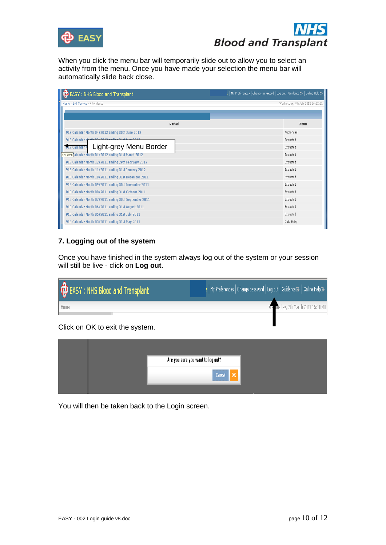



When you click the menu bar will temporarily slide out to allow you to select an activity from the menu. Once you have made your selection the menu bar will automatically slide back close.

| >   My Preferences   Change password   Log out   Guidance B>   Online Help B><br>EASY: NHS Blood and Transplant |               |  |
|-----------------------------------------------------------------------------------------------------------------|---------------|--|
| Home > Self Service > Attendance<br>Wednesday, 4th July 2012 16:12:11                                           |               |  |
|                                                                                                                 |               |  |
| Period                                                                                                          | <b>Status</b> |  |
| 918 Calendar Month 04/2012 ending 30th June 2012                                                                | Authorised    |  |
| 918 Calendar Month 03/3013 onding 31ct May 2013                                                                 | Extracted     |  |
| Light-grey Menu Border<br>918 Calendar M                                                                        | Extracted     |  |
| Slide Open Calendar Month 01/2012 ending 31st March 2012                                                        | Extracted     |  |
| 918 Calendar Month 12/2011 ending 29th February 2012                                                            | Extracted     |  |
| 918 Calendar Month 11/2011 ending 31st January 2012                                                             | Extracted     |  |
| 918 Calendar Month 10/2011 ending 31st December 2011                                                            | Extracted     |  |
| 918 Calendar Month 09/2011 ending 30th November 2011                                                            | Extracted     |  |
| 918 Calendar Month 08/2011 ending 31st October 2011                                                             | Extracted     |  |
| 918 Calendar Month 07/2011 ending 30th September 2011                                                           | Extracted     |  |
| 918 Calendar Month 06/2011 ending 31st August 2011                                                              | Extracted     |  |
| 918 Calendar Month 05/2011 ending 31st July 2011                                                                | Extracted     |  |
| 918 Calendar Month 03/2011 ending 31st May 2011                                                                 | Data Entry    |  |

## **7. Logging out of the system**

Once you have finished in the system always log out of the system or your session will still be live - click on **Log out**.

| <b>D</b> EASY: NHS Blood and Transplant | → My Preferences   Change password   Log out   Guidance⊞→   Online Help⊞→ |
|-----------------------------------------|---------------------------------------------------------------------------|
| Home                                    | We hesday, 2th March 2011 15:10:40                                        |
| $\sim$ $\sim$ $\sim$<br>.               |                                                                           |

Click on OK to exit the system.

| Are you sure you want to log out? |
|-----------------------------------|
| <b>Cancel</b><br>0K               |

You will then be taken back to the Login screen.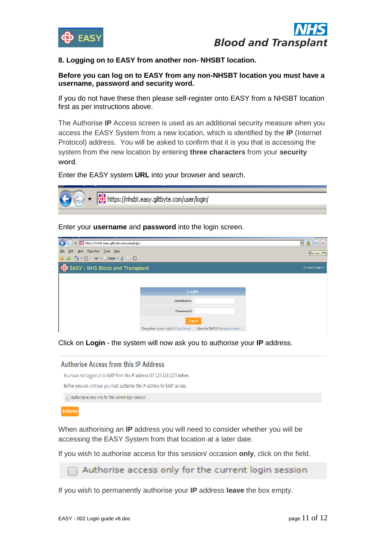



### **8. Logging on to EASY from another non- NHSBT location.**

#### **Before you can log on to EASY from any non-NHSBT location you must have a username, password and security word.**

If you do not have these then please self-register onto EASY from a NHSBT location first as per instructions above.

The Authorise **IP** Access screen is used as an additional security measure when you access the EASY System from a new location, which is identified by the **IP** (Internet Protocol) address. You will be asked to confirm that it is you that is accessing the system from the new location by entering **three characters** from your **security word**.

Enter the EASY system **URL** into your browser and search.



#### Enter your **username** and **password** into the login screen.

| + com/user/login/                         |                                   |                             | $\left\Vert \left. _{4}\right\Vert \times\right\Vert$<br>$\mathbf{r}$ |
|-------------------------------------------|-----------------------------------|-----------------------------|-----------------------------------------------------------------------|
| View Favorites Tools Help<br>Eile<br>Edit |                                   |                             | Refresh (F5)                                                          |
| * * ^ 1 5 · 5 · 2 200 · 4 5 8             |                                   |                             |                                                                       |
| <b>EASY: NHS Blood and Transplant</b>     |                                   |                             | Online Helpte>                                                        |
|                                           |                                   |                             |                                                                       |
|                                           |                                   |                             |                                                                       |
|                                           | Login                             |                             |                                                                       |
|                                           | Username                          |                             |                                                                       |
|                                           | Password                          |                             |                                                                       |
|                                           | Log in                            |                             |                                                                       |
|                                           | Forgotten your login? Click here. | New to EASY? Register here. |                                                                       |

Click on **Login** - the system will now ask you to authorise your **IP** address.

#### **Authorise Access from this IP Address**

You have not logged on to EASY from this IP address (37.123.118.127) before.

Before you can continue you must authorise this IP address for EASY access.

Authorise access only for the current login session

#### **Authorise**

When authorising an **IP** address you will need to consider whether you will be accessing the EASY System from that location at a later date.

If you wish to authorise access for this session/ occasion **only**, click on the field.

Authorise access only for the current login session

If you wish to permanently authorise your **IP** address **leave** the box empty.